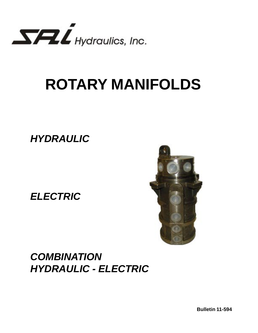

# **ROTARY MANIFOLDS**

**HYDRAULIC**

**ELECTRIC**



## **COMBINATION HYDRAULIC - ELECTRIC**

**Bulletin 11-594**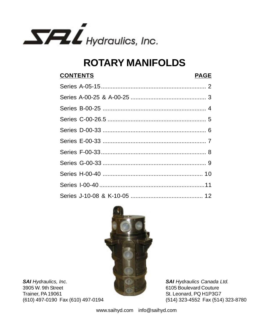

## **ROTARY MANIFOLDS**

## **CONTENTS PAGE** Series A-05-15................................................................ 2 Series A-00-25 & A-00-25 .............................................. 3 Series B-00-25 ............................................................... 4 Series C-00-26.5 ............................................................ 5 Series D-00-33 ............................................................... 6 Series E-00-33 ............................................................... 7 Series F-00-33................................................................ 8 Series G-00-33 ............................................................... 9 Series H-00-40 ............................................................. 10 Series I-00-40 ................................................................11 Series J-10-08 & K-10-05 ............................................ 12



**SAI** Hydraulics, Inc. 3905 W. 9th Street Trainer, PA 19061 (610) 497-0190 Fax (610) 497-0194

**SAI Hydraulics Canada Ltd.** 6105 Boulevard Couture St. Leonard, PQ H1P3G7 (514) 323-4552 Fax (514) 323-8780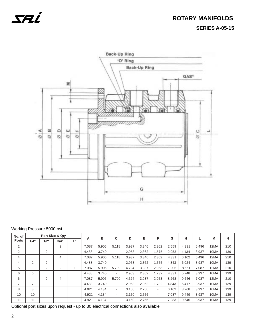### **ROTARY MANIFOLDS SERIES A-05-15**



#### Working Pressure 5000 psi

| No. of       |      |      | Port Size & Qty |    |       |       |                          |       |       |                          |       |       |       |      |      |
|--------------|------|------|-----------------|----|-------|-------|--------------------------|-------|-------|--------------------------|-------|-------|-------|------|------|
| <b>Ports</b> | 1/4" | 1/2" | 3/4"            | 1" | A     | в     | C                        | D     | Е     | F                        | G     | н     |       | M    | N    |
| 2            |      |      | 2               |    | 7.087 | 5.906 | 5.118                    | 3.937 | 3.346 | 2.362                    | 2.559 | 4.331 | 6.496 | 12MA | .210 |
| 2            |      | 2    |                 |    | 4.488 | 3.740 | ٠                        | 2.953 | 2.362 | 1.575                    | 2.953 | 4.134 | 3.937 | 10MA | .139 |
| 4            |      |      | $\overline{4}$  |    | 7.087 | 5.906 | 5.118                    | 3.937 | 3.346 | 2.362                    | 4.331 | 6.102 | 6.496 | 12MA | .210 |
| 4            | 2    | 2    |                 |    | 4.488 | 3.740 | $\overline{\phantom{0}}$ | 2.953 | 2.362 | 1.575                    | 4.843 | 6.024 | 3.937 | 10MA | .139 |
| 5            |      | 2    | 2               |    | 7.087 | 5.906 | 5.709                    | 4.724 | 3.937 | 2.953                    | 7.205 | 8.661 | 7.087 | 12MA | .210 |
| 6            | 6    |      |                 |    | 4.488 | 3.740 | $\overline{\phantom{0}}$ | 2.953 | 2.362 | 1.732                    | 4.331 | 5.748 | 3.937 | 10MA | .139 |
| 6            |      | 2    | 4               |    | 7.087 | 5.906 | 5.709                    | 4.724 | 3.937 | 2.953                    | 8.268 | 9.646 | 7.087 | 12MA | .210 |
| 7            | 7    |      |                 |    | 4.488 | 3.740 | ۰                        | 2.953 | 2.362 | 1.732                    | 4.843 | 6.417 | 3.937 | 10MA | .139 |
| 8            | 8    |      |                 |    | 4.921 | 4.134 | ۰                        | 3.150 | 2.756 | ٠                        | 6.102 | 8.268 | 3.937 | 10MA | .139 |
| 10           | 10   |      |                 |    | 4.921 | 4.134 | ۰                        | 3.150 | 2.756 | $\overline{\phantom{a}}$ | 7.087 | 9.449 | 3.937 | 10MA | .139 |
| 11           | 11   |      |                 |    | 4.921 | 4.134 | ۰                        | 3.150 | 2.756 | ۰                        | 7.283 | 9.646 | 3.937 | 10MA | .139 |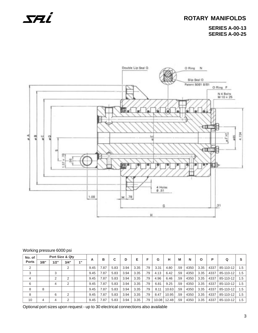## **ROTARY MANIFOLDS**

**SERIES A-00-13 SERIES A-00-25**



#### Working pressure 6000 psi

| No. of         |      | Port Size & Qty |                |    |      | в    | C    | D    | Е    | F.  | G     | н     | M   | N    | O    | P    | Q         |     |
|----------------|------|-----------------|----------------|----|------|------|------|------|------|-----|-------|-------|-----|------|------|------|-----------|-----|
| <b>Ports</b>   | 3/8" | 1/2"            | 3/4"           | 1" | A    |      |      |      |      |     |       |       |     |      |      |      |           |     |
| $\overline{2}$ |      |                 | 2              |    | 9.45 | 7.87 | 5.83 | 3.94 | 3.35 | .79 | 3.31  | 4.80  | .59 | 4350 | 3.35 | 4337 | 85-110-12 | 1.5 |
| 3              |      | 3               |                |    | 9.45 | 7.87 | 5.83 | 3.94 | 3.35 | .79 | 4.13  | 6.42  | .59 | 4350 | 3.35 | 4337 | 85-110-12 | 1.5 |
| 4              |      | $\sim$          | 2              |    | 9.45 | 7.87 | 5.83 | 3.94 | 3.35 | .79 | 4.96  | 6.46  | .59 | 4350 | 3.35 | 4337 | 85-110-12 | 1.5 |
| 6              |      | 4               | $\overline{2}$ |    | 9.45 | 7.87 | 5.83 | 3.94 | 3.35 | .79 | 6.81  | 9.25  | .59 | 4350 | 3.35 | 4337 | 85-110-12 | 1.5 |
| 8              | 8    |                 |                |    | 9.45 | 7.87 | 5.83 | 3.94 | 3.35 | .79 | 8.11  | 10.63 | .59 | 4350 | 3.35 | 4337 | 85-110-12 | 1.5 |
| 8              |      | 6               | 2              |    | 9.45 | 7.87 | 5.83 | 3.94 | 3.35 | .79 | 8.47  | 10.95 | .59 | 4350 | 3.35 | 4337 | 85-110-12 | 1.5 |
| 10             | 4    |                 | $\mathcal{P}$  |    | 9.45 | 7.87 | 5.83 | 3.94 | 3.35 | .79 | 10.08 | 12.48 | .59 | 4350 | 3.35 | 4337 | 85-110-12 | 1.5 |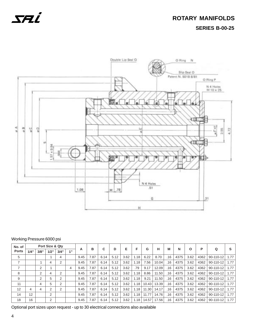

### **ROTARY MANIFOLDS SERIES B-00-25**



#### Working Pressure 6000 psi

| No. of       |      |      | Port Size & Qty |                |    |      | в    | C    | D    | Е    | F    | G     | н     | M   | N    |      | P    |           | s    |
|--------------|------|------|-----------------|----------------|----|------|------|------|------|------|------|-------|-------|-----|------|------|------|-----------|------|
| <b>Ports</b> | 1/4" | 3/8" | 1/2"            | 3/4"           | 4" | A    |      |      |      |      |      |       |       |     |      | Ο    |      | Q         |      |
| 5            |      |      |                 | 4              |    | 9.45 | 7.87 | 6.14 | 5.12 | 3.62 | 1.18 | 6.22  | 8.70  | .16 | 4375 | 3.62 | 4362 | 90-110-12 | 1.77 |
| 7            |      |      | 4               | $\overline{2}$ |    | 9.45 | 7.87 | 6.14 | 5.12 | 3.62 | 1.18 | 7.56  | 10.04 | .16 | 4375 | 3.62 | 4362 | 90-110-12 | 1.77 |
| ⇁            |      | 2    |                 |                | 4  | 9.45 | 7.87 | 6.14 | 5.12 | 3.62 | .79  | 9.17  | 12.09 | .16 | 4375 | 3.62 | 4362 | 90-110-12 | 1.77 |
| 8            |      | 2    | 4               | $\overline{2}$ |    | 9.45 | 7.87 | 6.14 | 5.12 | 3.62 | 1.18 | 8.86  | 11.50 | .16 | 4375 | 3.62 | 4362 | 90-110-12 | 1.77 |
| 9            |      | 2    | 5               | $\overline{2}$ |    | 9.45 | 7.87 | 6.14 | 5.12 | 3.62 | 1.18 | 9.21  | 11.50 | .16 | 4375 | 3.62 | 4362 | 90-110-12 | 1.77 |
| 11           |      | 4    | 5               | $\overline{2}$ |    | 9.45 | 7.87 | 6.14 | 5.12 | 3.62 | 1.18 | 10.43 | 13.39 | .16 | 4375 | 3.62 | 4362 | 90-110-12 | 1.77 |
| 12           | 4    | 4    | ↷               | $\overline{2}$ |    | 9.45 | 7.87 | 6.14 | 5.12 | 3.62 | 1.18 | 11.30 | 14.17 | .16 | 4375 | 3.62 | 4362 | 90-110-12 | 1.77 |
| 14           | 12   |      | 2               |                |    | 9.45 | 7.87 | 6.14 | 5.12 | 3.62 | 1.18 | 11.77 | 14.76 | .16 | 4375 | 3.62 | 4362 | 90-110-12 | 1.77 |
| 18           | 16   |      | 2               |                |    | 9.45 | 7.87 | 6.14 | 5.12 | 3.62 | 1.18 | 14.57 | 17.56 | .16 | 4375 | 3.62 | 4362 | 90-110-12 | 1.77 |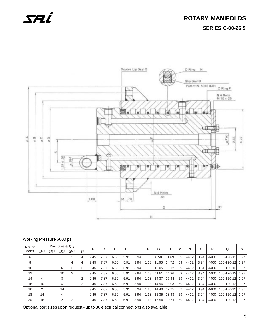## **ROTARY MANIFOLDS SERIES C-00-26.5**



#### Working Pressure 6000 psi

| No. of       |      |      | Port Size & Qty |                |    | A    | в    | C    | D    | Е    | F    | G     | н     | M   | N    | Ο    | P    |             | S    |
|--------------|------|------|-----------------|----------------|----|------|------|------|------|------|------|-------|-------|-----|------|------|------|-------------|------|
| <b>Ports</b> | 1/4" | 3/8" | 1/2"            | 3/4"           | 1" |      |      |      |      |      |      |       |       |     |      |      |      | Q           |      |
| 6            |      |      |                 | 2              | 4  | 9.45 | 7.87 | 6.50 | 5.91 | 3.94 | 1.18 | 8.58  | 11.69 | .59 | 4412 | 3.94 | 4400 | 100-120-12  | 1.97 |
| 8            |      |      |                 | 4              | 4  | 9.45 | 7.87 | 6.50 | 5.91 | 3.94 | 1.18 | 11.65 | 14.72 | .59 | 4412 | 3.94 | 4400 | 100-120-12  | 1.97 |
| 10           |      |      | 6               | 2              |    | 9.45 | 7.87 | 6.50 | 5.91 | 3.94 | 1.18 | 12.05 | 15.12 | .59 | 4412 | 3.94 | 4400 | 100-120-12  | 1.97 |
| 12           |      |      | 10              | $\overline{2}$ |    | 9.45 | 7.87 | 6.50 | 5.91 | 3.94 | 1.18 | 11.81 | 14.96 | .59 | 4412 | 3.94 | 4400 | 100-120-12  | 1.97 |
| 14           | 4    |      | 8               |                | 2  | 9.45 | 7.87 | 6.50 | 5.91 | 3.94 | 1.18 | 14.37 | 17.44 | .59 | 4412 | 3.94 | 4400 | 100-120-12  | 1.97 |
| 16           | 10   |      | 4               |                | 2  | 9.45 | 7.87 | 6.50 | 5.91 | 3.94 | 1.18 | 14.96 | 18.03 | .59 | 4412 | 3.94 | 4400 | 100-120-12  | 1.97 |
| 16           | 2    |      | 14              |                |    | 9.45 | 7.87 | 6.50 | 5.91 | 3.94 | 1.18 | 14.49 | 17.95 | .59 | 4412 | 3.94 | 4400 | 100-120-12  | 1.97 |
| 18           | 14   |      | 4               |                |    | 9.45 | 7.87 | 6.50 | 5.91 | 3.94 | 1.18 | 15.35 | 18.43 | .59 | 4412 | 3.94 | 4400 | 100-120-12  | 1.97 |
| 20           | 16   |      | 2               | 2              |    | 9.45 | 7.87 | 6.50 | 5.91 | 3.94 | 1.18 | 16.54 | 19.61 | .59 | 4412 | 3.94 | 4400 | 100-120-121 | 1.97 |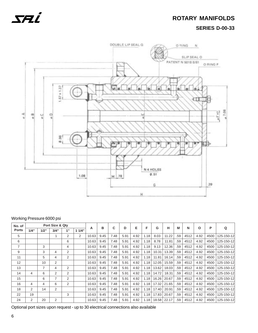### **ROTARY MANIFOLDS SERIES D-00-33**



### Working Pressure 6000 psi

| No. of         |      |                | Port Size & Qty |    |       |       |      |      |      | E    | F    | G     |       | M   |      |      | P    |            |
|----------------|------|----------------|-----------------|----|-------|-------|------|------|------|------|------|-------|-------|-----|------|------|------|------------|
| <b>Ports</b>   | 1/4" | 1/2"           | 3/4"            | 1" | 11/4" | А     | в    | С    | D    |      |      |       | н     |     | N    | O    |      | Q          |
| 5              |      |                |                 | 2  | 2     | 10.63 | 9.45 | 7.48 | 5.91 | 4.92 | 1.18 | 8.03  | 11.22 | .59 | 4512 | 4.92 | 4500 | 125-150-12 |
| 6              |      |                |                 | 6  |       | 10.63 | 9.45 | 7.48 | 5.91 | 4.92 | 1.18 | 8.78  | 11.81 | .59 | 4512 | 4.92 | 4500 | 125-150-12 |
| $\overline{7}$ |      | 3              |                 | 4  |       | 10.63 | 9.45 | 7.48 | 5.91 | 4.92 | 1.18 | 9.13  | 12.36 | .59 | 4512 | 4.92 | 4500 | 125-150-12 |
| 9              |      | 3              | 4               | 2  |       | 10.63 | 9.45 | 7.48 | 5.91 | 4.92 | 1.18 | 10.31 | 13.39 | .59 | 4512 | 4.92 | 4500 | 125-150-12 |
| 11             |      | 5              | 4               | 2  |       | 10.63 | 9.45 | 7.48 | 5.91 | 4.92 | 1.18 | 11.81 | 16.14 | .59 | 4512 | 4.92 | 4500 | 125-150-12 |
| 12             |      | 10             | $\overline{2}$  |    |       | 10.63 | 9.45 | 7.48 | 5.91 | 4.92 | 1.18 | 12.05 | 15.59 | .59 | 4512 | 4.92 | 4500 | 125-150-12 |
| 13             |      | $\overline{7}$ | 4               | 2  |       | 10.63 | 9.45 | 7.48 | 5.91 | 4.92 | 1.18 | 13.62 | 18.03 | .59 | 4512 | 4.92 | 4500 | 125-150-12 |
| 14             | 4    | 6              | 2               | 2  |       | 10.63 | 9.45 | 7.48 | 5.91 | 4.92 | 1.18 | 14.72 | 18.31 | .59 | 4512 | 4.92 | 4500 | 125-150-12 |
| 15             |      | 6              | 7               | 2  |       | 10.63 | 9.45 | 7.48 | 5.91 | 4.92 | 1.18 | 16.26 | 20.67 | .59 | 4512 | 4.92 | 4500 | 125-150-12 |
| 16             | 4    | 4              | 6               | 2  |       | 10.63 | 9.45 | 7.48 | 5.91 | 4.92 | 1.18 | 17.32 | 21.65 | .59 | 4512 | 4.92 | 4500 | 125-150-12 |
| 18             | 2    | 14             | 2               |    |       | 10.63 | 9.45 | 7.48 | 5.91 | 4.92 | 1.18 | 17.40 | 20.91 | .59 | 4512 | 4.92 | 4500 | 125-150-12 |
| 22             | 19   |                |                 | 3  |       | 10.63 | 9.45 | 7.48 | 5.91 | 4.92 | 1.18 | 17.83 | 20.67 | .59 | 4512 | 4.92 | 4500 | 125-150-12 |
| 24             | 2    | 20             | 2               |    |       | 10.63 | 9.45 | 7.48 | 5.91 | 4.92 | 1.18 | 18.58 | 22.17 | .59 | 4512 | 4.92 | 4500 | 125-150-12 |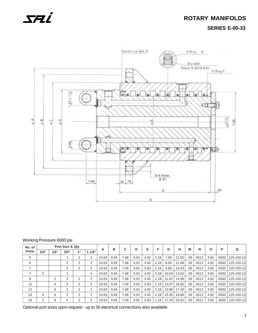### **ROTARY MANIFOLDS SERIES E-00-33**



#### Working Pressure 6000 psi

| No. of         |      |      | Port Size & Qty |                 |               |       | в    | C    | D    | Е    | F    | G     | н     | М   | N    | $\Omega$ | P    | Q          |
|----------------|------|------|-----------------|-----------------|---------------|-------|------|------|------|------|------|-------|-------|-----|------|----------|------|------------|
| <b>Ports</b>   | 1/4" | 1/2" | 3/4"            | 4 <sub>  </sub> | 11/4"         | A     |      |      |      |      |      |       |       |     |      |          |      |            |
| 5              |      |      |                 | 2               | 2             | 10.63 | 9.45 | 7.48 | 5.91 | 4.92 | 1.18 | 7.95  | 11.50 | .59 | 4512 | 4.92     | 4500 | 125-150-12 |
| 6              |      |      | 2               | 2               | 2             | 10.63 | 9.45 | 7.48 | 5.91 | 4.92 | 1.18 | 8.94  | 12.48 | .59 | 4512 | 4.92     | 4500 | 125-150-12 |
| $\overline{ }$ |      |      | 3               | 2               | 2             | 10.63 | 9.45 | 7.48 | 5.91 | 4.92 | 1.18 | 9.88  | 13.43 | .59 | 4512 | 4.92     | 4500 | 125-150-12 |
|                | 2    |      |                 |                 | 4             | 10.63 | 9.45 | 7.48 | 5.91 | 4.92 | 1.18 | 10.04 | 13.62 | .59 | 4512 | 4.92     | 4500 | 125-150-12 |
| 9              |      | 2    | 3               | 2               | 2             | 10.63 | 9.45 | 7.48 | 5.91 | 4.92 | 1.18 | 11.42 | 14.96 | .59 | 4512 | 4.92     | 4500 | 125-150-12 |
| 11             |      | 4    | 3               | 2               | 2             | 10.63 | 9.45 | 7.48 | 5.91 | 4.92 | 1.18 | 13.07 | 16.65 | .59 | 4512 | 4.92     | 4500 | 125-150-12 |
| 12             |      | 5    | 3               | 2               | $\mathcal{P}$ | 10.63 | 9.45 | 7.48 | 5.91 | 4.92 | 1.18 | 13.90 | 17.48 | .59 | 4512 | 4.92     | 4500 | 125-150-12 |
| 14             | 4    | 4    | 2               | 2               | 2             | 10.63 | 9.45 | 7.48 | 5.91 | 4.92 | 1.18 | 15.35 | 18.86 | .59 | 4512 | 4.92     | 4500 | 125-150-12 |
| 18             | 2    | 8    | 4               | 2               | 2             | 10.63 | 9.45 | 7.48 | 5.91 | 4.92 | 1.18 | 17.40 | 20.91 | .59 | 4512 | 4.92     | 4500 | 125-150-12 |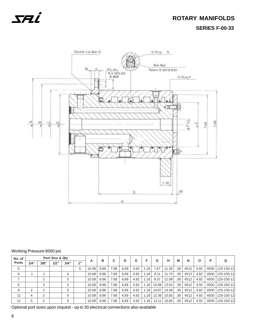### **ROTARY MANIFOLDS SERIES F-00-33**



#### Working Pressure 6000 psi

| No. of       |      |      | Port Size & Qty |      |           |       | в    | C    | D    | Е    |                  | G     | н     | M   | N    | O    | P    | Q          |
|--------------|------|------|-----------------|------|-----------|-------|------|------|------|------|------------------|-------|-------|-----|------|------|------|------------|
| <b>Ports</b> | 1/4" | 3/8" | 1/2"            | 3/4" | $A$ $\Pi$ | A     |      |      |      |      |                  |       |       |     |      |      |      |            |
| 5            |      |      |                 |      | 5         | 10.08 | 8.86 | 7.68 | 6.69 | 4.92 | .18              | 7.67  | 11.30 | .39 | 4512 | 4.92 | 4500 | 125-150-12 |
| 6            |      |      |                 | 4    |           | 10.08 | 8.86 | 7.68 | 6.69 | 4.92 | . 18             | 8.11  | 11.73 | .39 | 4512 | 4.92 | 4500 | 125-150-12 |
|              |      | ◠    |                 |      |           | 10.08 | 8.86 | 7.68 | 6.69 | 4.92 | $.18$ '          | 9.37  | 12.99 | .39 | 4512 | 4.92 | 4500 | 125-150-12 |
| 8            |      | 3    |                 | 5    |           | 10.08 | 8.86 | 7.68 | 6.69 | 4.92 | .18 <sup>1</sup> | 10.08 | 13.54 | .39 | 4512 | 4.92 | 4500 | 125-150-12 |
| 9            | ◠    | ⌒    |                 | 5    |           | 10.08 | 8.86 | 7.68 | 6.69 | 4.92 | .18 <sup>1</sup> | 10.87 | 14.49 | .39 | 4512 | 4.92 | 4500 | 125-150-12 |
| 11           | 4    | ⌒    |                 | 5    |           | 10.08 | 8.86 | 7.68 | 6.69 | 4.92 | .18              | 12.36 | 15.83 | .39 | 4512 | 4.92 | 4500 | 125-150-12 |
| 12           | 5    | ◠    |                 | 5    |           | 10.08 | 8.86 | 7.68 | 6.69 | 4.92 | .18              | 13.11 | 16.65 | .39 | 4512 | 4.92 | 4500 | 125-150-12 |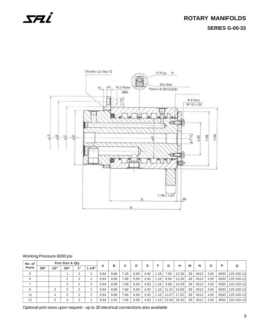



#### Working Pressure 6000 psi

| No. of       |      |        | Port Size & Qty |          |          |      | в    | C    | D    | Е    |      | G     | н     | М   | N    | Ο    | P    | Q          |
|--------------|------|--------|-----------------|----------|----------|------|------|------|------|------|------|-------|-------|-----|------|------|------|------------|
| <b>Ports</b> | 3/8" | 1/2"   | 3/4"            | 4 "      | 1/4"     | A    |      |      |      |      |      |       |       |     |      |      |      |            |
| 5            |      |        |                 | $\Omega$ | C        | 9.84 | 8.86 | 7.28 | 6.69 | 4.92 | 1.18 | 7.95  | 12.36 | .39 | 4512 | 4.92 | 4500 | 125-150-12 |
| 6            |      |        | ◠               |          | ◠        | 9.84 | 8.86 | 7.68 | 6.69 | 4.92 | 1.18 | 8.94  | 13.35 | .39 | 4512 | 4.92 | 4500 | 125-150-12 |
| ⇁            |      |        |                 |          |          | 9.84 | 8.86 | 7.68 | 6.69 | 4.92 | 1.18 | 9.88  | 14.29 | .39 | 4512 | 4.92 | 4500 | 125-150-12 |
| 9            |      | $\sim$ |                 |          | C        | 9.84 | 8.86 | 7.68 | 6.69 | 4.92 | 1.18 | 11.42 | 15.83 | .39 | 4512 | 4.92 | 4500 | 125-150-12 |
| 11           |      | 4      | 3               | $\Omega$ | $\Omega$ | 9.84 | 8.86 | 7.68 | 6.69 | 4.92 | 1.18 | 13.07 | 17.52 | .39 | 4512 | 4.92 | 4500 | 125-150-12 |
| 12           |      | 5      | 3               |          | $\sim$   | 9.84 | 4.92 | 7.68 | 6.69 | 4.92 | 1.18 | 13.90 | 18.35 | .39 | 4512 | 4.92 | 4500 | 125-150-12 |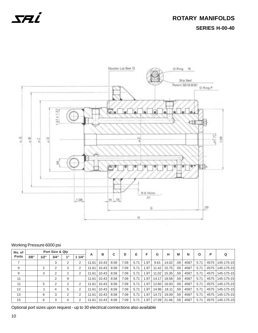## **ROTARY MANIFOLDS SERIES H-00-40**



### Working Pressure 6000 psi

| No. of       |      |      | Port Size & Qty |    |       |       | в     |      |      | Е    | F     |       |       | M   |      |      | P    |            |
|--------------|------|------|-----------------|----|-------|-------|-------|------|------|------|-------|-------|-------|-----|------|------|------|------------|
| <b>Ports</b> | 3/8" | 1/2" | 3/4"            | 4" | 11/4" | A     |       | С    | D    |      |       | G     | н     |     | N    | Ο    |      | Q          |
| 7            |      |      | 3               | 2  | 2     | 11.61 | 10.43 | 8.58 | 7.09 | 5.71 | .97   | 9.61  | 14.02 | .59 | 4587 | 5.71 | 4575 | 145-175-15 |
| 9            |      | 2    | 2               | 3  | 2     | 11.61 | 10.43 | 8.58 | 7.09 | 5.71 | .97   | 11.42 | 15.75 | .59 | 4587 | 5.71 | 4575 | 145-175-15 |
| 9            |      | 3    | 2               | 2  | 2     | 11.61 | 10.43 | 8.58 | 7.09 | 5.71 | .97   | 11.02 | 15.35 | .59 | 4587 | 5.71 | 4575 | 145-175-15 |
| 11           |      |      | 2               | 9  |       | 11.61 | 10.43 | 8.58 | 7.09 | 5.71 | .97   | 14.17 | 18.58 | .59 | 4587 | 5.71 | 4575 | 145-175-15 |
| 11           |      | 5    | 2               | 2  | 2     | 11.61 | 10.43 | 8.58 | 7.09 | 5.71 | .97   | 12.60 | 16.93 | .59 | 4587 | 5.71 | 4575 | 145-175-15 |
| 12           |      |      | 4               | 5  | 2     | 11.61 | 10.43 | 8.58 | 7.09 | 5.71 | .97   | 14.96 | 18.11 | .59 | 4587 | 5.71 | 4575 | 145-175-15 |
| 13           |      | 6    | 3               | 2  | 2     | 11.61 | 10.43 | 8.58 | 7.09 | 5.71 | . .97 | 14.72 | 19.09 | .59 | 4587 | 5.71 | 4575 | 145-175-15 |
| 15           |      | 6    | 3               | 4  | 2     | 11.61 | 10.43 | 8.58 | 7.09 | 5.71 | .97   | 17.09 | 21.46 | .59 | 4587 | 5.71 | 4575 | 145-175-15 |

Optional port sizes upon request - up to 30 electrical connections also available

10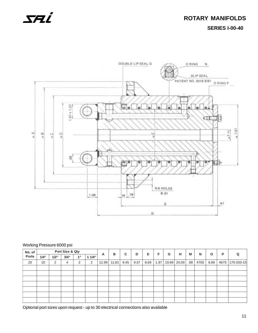

#### Working Pressure 6000 psi

| No. of       |      |      | Port Size & Qty |    |       |       | в     | C    | D    | Е.   | F    | G | н           | M                | N    | $\mathbf{o}$ | P    |            |
|--------------|------|------|-----------------|----|-------|-------|-------|------|------|------|------|---|-------------|------------------|------|--------------|------|------------|
| <b>Ports</b> | 1/4" | 1/2" | 3/4"            | 1" | 11/4" | A     |       |      |      |      |      |   |             |                  |      |              |      | Q          |
| 20           | 10   | 2    | 4               | 2  | 2     | 12.99 | 11.81 | 9.45 | 9.37 | 6.69 | 1.97 |   | 19.69 24.09 | .98 <sub>1</sub> | 4700 | 6.69         | 4675 | 170-200-15 |
|              |      |      |                 |    |       |       |       |      |      |      |      |   |             |                  |      |              |      |            |
|              |      |      |                 |    |       |       |       |      |      |      |      |   |             |                  |      |              |      |            |
|              |      |      |                 |    |       |       |       |      |      |      |      |   |             |                  |      |              |      |            |
|              |      |      |                 |    |       |       |       |      |      |      |      |   |             |                  |      |              |      |            |
|              |      |      |                 |    |       |       |       |      |      |      |      |   |             |                  |      |              |      |            |
|              |      |      |                 |    |       |       |       |      |      |      |      |   |             |                  |      |              |      |            |
|              |      |      |                 |    |       |       |       |      |      |      |      |   |             |                  |      |              |      |            |